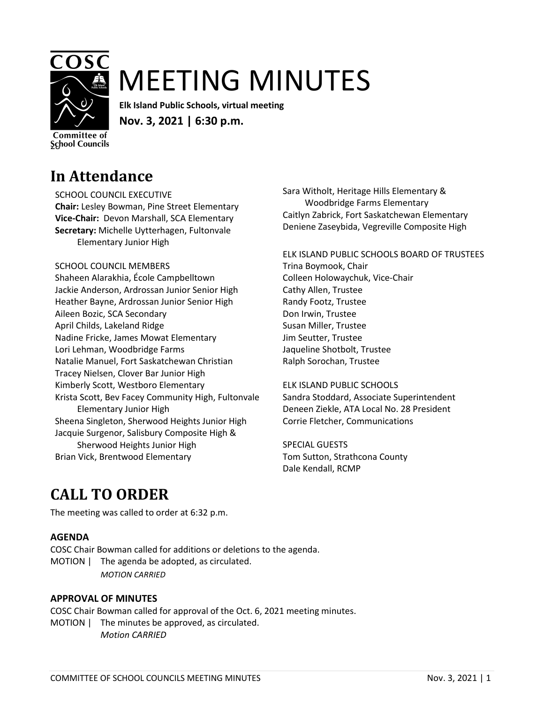

# MEETING MINUTES

**Elk Island Public Schools, virtual meeting Nov. 3, 2021 | 6:30 p.m.**

Committee of **School Councils** 

### **In Attendance**

SCHOOL COUNCIL EXECUTIVE

**Chair:** Lesley Bowman, Pine Street Elementary **Vice-Chair:** Devon Marshall, SCA Elementary **Secretary:** Michelle Uytterhagen, Fultonvale Elementary Junior High

#### SCHOOL COUNCIL MEMBERS

Shaheen Alarakhia, École Campbelltown Jackie Anderson, Ardrossan Junior Senior High Heather Bayne, Ardrossan Junior Senior High Aileen Bozic, SCA Secondary April Childs, Lakeland Ridge Nadine Fricke, James Mowat Elementary Lori Lehman, Woodbridge Farms Natalie Manuel, Fort Saskatchewan Christian Tracey Nielsen, Clover Bar Junior High Kimberly Scott, Westboro Elementary Krista Scott, Bev Facey Community High, Fultonvale Elementary Junior High Sheena Singleton, Sherwood Heights Junior High Jacquie Surgenor, Salisbury Composite High & Sherwood Heights Junior High Brian Vick, Brentwood Elementary

Sara Witholt, Heritage Hills Elementary & Woodbridge Farms Elementary Caitlyn Zabrick, Fort Saskatchewan Elementary Deniene Zaseybida, Vegreville Composite High

ELK ISLAND PUBLIC SCHOOLS BOARD OF TRUSTEES Trina Boymook, Chair Colleen Holowaychuk, Vice-Chair Cathy Allen, Trustee Randy Footz, Trustee Don Irwin, Trustee Susan Miller, Trustee Jim Seutter, Trustee Jaqueline Shotbolt, Trustee Ralph Sorochan, Trustee

#### ELK ISLAND PUBLIC SCHOOLS Sandra Stoddard, Associate Superintendent Deneen Ziekle, ATA Local No. 28 President Corrie Fletcher, Communications

SPECIAL GUESTS Tom Sutton, Strathcona County Dale Kendall, RCMP

### **CALL TO ORDER**

The meeting was called to order at 6:32 p.m.

#### **AGENDA**

COSC Chair Bowman called for additions or deletions to the agenda. MOTION | The agenda be adopted, as circulated. *MOTION CARRIED*

#### **APPROVAL OF MINUTES**

COSC Chair Bowman called for approval of the Oct. 6, 2021 meeting minutes. MOTION | The minutes be approved, as circulated. *Motion CARRIED*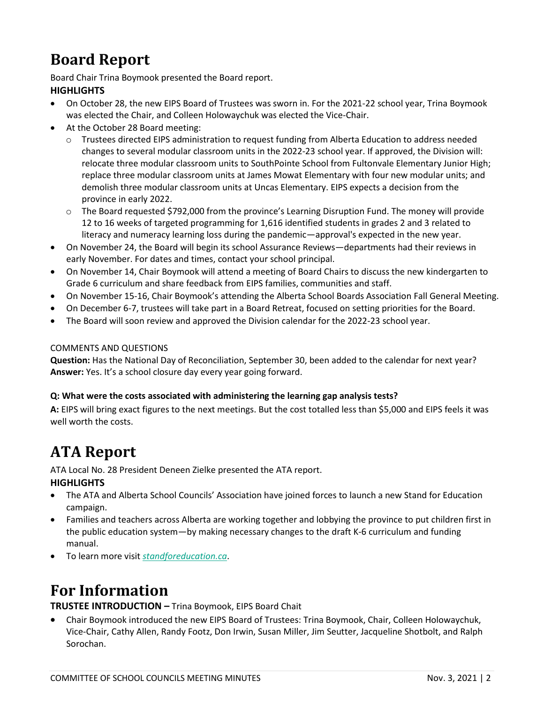### **Board Report**

Board Chair Trina Boymook presented the Board report.

#### **HIGHLIGHTS**

- On October 28, the new EIPS Board of Trustees was sworn in. For the 2021-22 school year, Trina Boymook was elected the Chair, and Colleen Holowaychuk was elected the Vice-Chair.
- At the October 28 Board meeting:
	- o Trustees directed EIPS administration to request funding from Alberta Education to address needed changes to several modular classroom units in the 2022-23 school year. If approved, the Division will: relocate three modular classroom units to SouthPointe School from Fultonvale Elementary Junior High; replace three modular classroom units at James Mowat Elementary with four new modular units; and demolish three modular classroom units at Uncas Elementary. EIPS expects a decision from the province in early 2022.
	- o The Board requested \$792,000 from the province's Learning Disruption Fund. The money will provide 12 to 16 weeks of targeted programming for 1,616 identified students in grades 2 and 3 related to literacy and numeracy learning loss during the pandemic—approval's expected in the new year.
- On November 24, the Board will begin its school Assurance Reviews—departments had their reviews in early November. For dates and times, contact your school principal.
- On November 14, Chair Boymook will attend a meeting of Board Chairs to discuss the new kindergarten to Grade 6 curriculum and share feedback from EIPS families, communities and staff.
- On November 15-16, Chair Boymook's attending the Alberta School Boards Association Fall General Meeting.
- On December 6-7, trustees will take part in a Board Retreat, focused on setting priorities for the Board.
- The Board will soon review and approved the Division calendar for the 2022-23 school year.

#### COMMENTS AND QUESTIONS

**Question:** Has the National Day of Reconciliation, September 30, been added to the calendar for next year? **Answer:** Yes. It's a school closure day every year going forward.

#### **Q: What were the costs associated with administering the learning gap analysis tests?**

**A:** EIPS will bring exact figures to the next meetings. But the cost totalled less than \$5,000 and EIPS feels it was well worth the costs.

### **ATA Report**

ATA Local No. 28 President Deneen Zielke presented the ATA report. **HIGHLIGHTS**

- The ATA and Alberta School Councils' Association have joined forces to launch a new Stand for Education campaign.
- Families and teachers across Alberta are working together and lobbying the province to put children first in the public education system—by making necessary changes to the draft K-6 curriculum and funding manual.
- To learn more visit *[standforeducation.ca](https://standforeducation.ca/)*.

### **For Information**

**TRUSTEE INTRODUCTION –** Trina Boymook, EIPS Board Chait

• Chair Boymook introduced the new EIPS Board of Trustees: Trina Boymook, Chair, Colleen Holowaychuk, Vice-Chair, Cathy Allen, Randy Footz, Don Irwin, Susan Miller, Jim Seutter, Jacqueline Shotbolt, and Ralph Sorochan.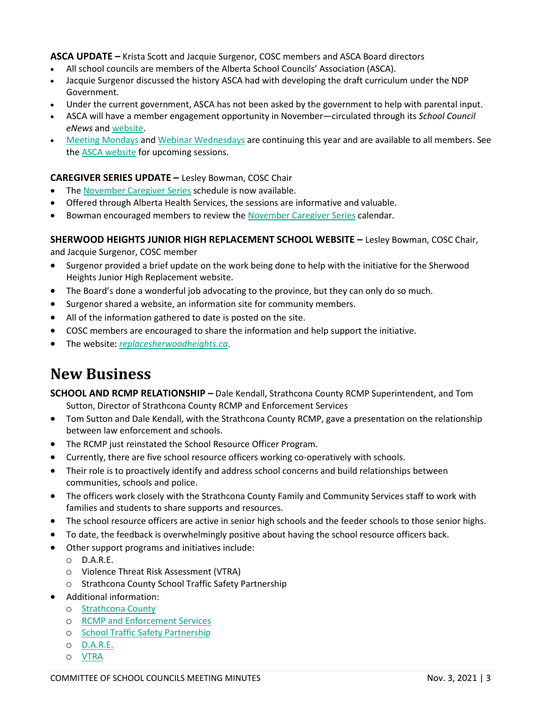**ASCA UPDATE –** Krista Scott and Jacquie Surgenor, COSC members and ASCA Board directors

- All school councils are members of the Alberta School Councils' Association (ASCA).
- Jacquie Surgenor discussed the history ASCA had with developing the draft curriculum under the NDP Government.
- Under the current government, ASCA has not been asked by the government to help with parental input.
- ASCA will have a member engagement opportunity in November—circulated through its *School Council eNews* and [website.](https://www.albertaschoolcouncils.ca/)
- [Meeting Mondays](https://www.albertaschoolcouncils.ca/school-councils/webinars/meeting-mondays) and [Webinar Wednesdays](https://www.albertaschoolcouncils.ca/school-councils/webinars/webinar-wednesdays) are continuing this year and are available to all members. See the ASCA website for upcoming sessions.

#### **CAREGIVER SERIES UPDATE –** Lesley Bowman, COSC Chair

- The November [Caregiver Series](https://drive.google.com/file/d/1JiHNhNSJvXjNVskOsIihVXduFoTlof4p/view?usp=sharing) schedule is now available.
- Offered through Alberta Health Services, the sessions are informative and valuable.
- Bowman encouraged members to review the November [Caregiver Series](https://drive.google.com/file/d/1JiHNhNSJvXjNVskOsIihVXduFoTlof4p/view?usp=sharing) calendar.

#### **SHERWOOD HEIGHTS JUNIOR HIGH REPLACEMENT SCHOOL WEBSITE –** Lesley Bowman, COSC Chair,

and Jacquie Surgenor, COSC member

- Surgenor provided a brief update on the work being done to help with the initiative for the Sherwood Heights Junior High Replacement website.
- The Board's done a wonderful job advocating to the province, but they can only do so much.
- Surgenor shared a website, an information site for community members.
- All of the information gathered to date is posted on the site.
- COSC members are encouraged to share the information and help support the initiative.
- The website: *[replacesherwoodheights.ca](http://www.replacesherwoodheights.ca/)*.

### **New Business**

**SCHOOL AND RCMP RELATIONSHIP –** Dale Kendall, Strathcona County RCMP Superintendent, and Tom Sutton, Director of Strathcona County RCMP and Enforcement Services

- Tom Sutton and Dale Kendall, with the Strathcona County RCMP, gave a presentation on the relationship between law enforcement and schools.
- The RCMP just reinstated the School Resource Officer Program.
- Currently, there are five school resource officers working co-operatively with schools.
- Their role is to proactively identify and address school concerns and build relationships between communities, schools and police.
- The officers work closely with the Strathcona County Family and Community Services staff to work with families and students to share supports and resources.
- The school resource officers are active in senior high schools and the feeder schools to those senior highs.
- To date, the feedback is overwhelmingly positive about having the school resource officers back.
- Other support programs and initiatives include:
	- o D.A.R.E.
	- o Violence Threat Risk Assessment (VTRA)
	- o Strathcona County School Traffic Safety Partnership
- Additional information:
	- o [Strathcona County](https://www.strathcona.ca/)
		- o [RCMP and Enforcement Services](https://www.strathcona.ca/councilcounty/administration/departments/rcmp-and-enforcement-services)
		- o [School Traffic Safety Partnership](http://www.schooltrafficsafety.com/)
		- o [D.A.R.E.](https://dare.org/d-a-r-e-canada)
		- o [VTRA](https://www.nactatr.com/vtra.html)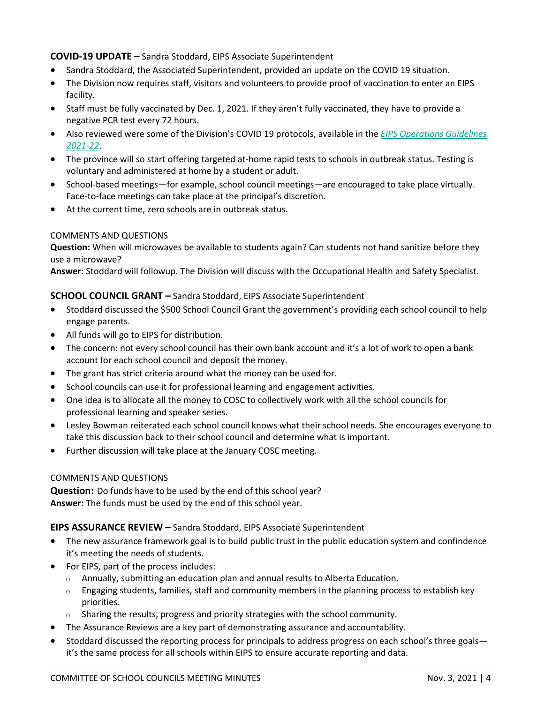#### **COVID-19 UPDATE –** Sandra Stoddard, EIPS Associate Superintendent

- Sandra Stoddard, the Associated Superintendent, provided an update on the COVID 19 situation.
- The Division now requires staff, visitors and volunteers to provide proof of vaccination to enter an EIPS facility.
- Staff must be fully vaccinated by Dec. 1, 2021. If they aren't fully vaccinated, they have to provide a negative PCR test every 72 hours.
- Also reviewed were some of the Division's COVID 19 protocols, available in the *[EIPS Operations Guidelines](https://www.eips.ca/download/361973)  [2021-22](https://www.eips.ca/download/361973)*.
- The province will so start offering targeted at-home rapid tests to schools in outbreak status. Testing is voluntary and administered at home by a student or adult.
- School-based meetings—for example, school council meetings—are encouraged to take place virtually. Face-to-face meetings can take place at the principal's discretion.
- At the current time, zero schools are in outbreak status.

#### COMMENTS AND QUESTIONS

**Question:** When will microwaves be available to students again? Can students not hand sanitize before they use a microwave?

**Answer:** Stoddard will followup. The Division will discuss with the Occupational Health and Safety Specialist.

#### **SCHOOL COUNCIL GRANT –** Sandra Stoddard, EIPS Associate Superintendent

- Stoddard discussed the \$500 School Council Grant the government's providing each school council to help engage parents.
- All funds will go to EIPS for distribution.
- The concern: not every school council has their own bank account and it's a lot of work to open a bank account for each school council and deposit the money.
- The grant has strict criteria around what the money can be used for.
- School councils can use it for professional learning and engagement activities.
- One idea is to allocate all the money to COSC to collectively work with all the school councils for professional learning and speaker series.
- Lesley Bowman reiterated each school council knows what their school needs. She encourages everyone to take this discussion back to their school council and determine what is important.
- Further discussion will take place at the January COSC meeting.

#### COMMENTS AND QUESTIONS

**Question:** Do funds have to be used by the end of this school year? **Answer:** The funds must be used by the end of this school year.

#### **EIPS ASSURANCE REVIEW –** Sandra Stoddard, EIPS Associate Superintendent

- The new assurance framework goal is to build public trust in the public education system and confindence it's meeting the needs of students.
- For EIPS, part of the process includes:
	- $\circ$  Annually, submitting an education plan and annual results to Alberta Education.
	- $\circ$  Engaging students, families, staff and community members in the planning process to establish key priorities.
	- o Sharing the results, progress and priority strategies with the school community.
- The Assurance Reviews are a key part of demonstrating assurance and accountability.
- Stoddard discussed the reporting process for principals to address progress on each school's three goals it's the same process for all schools within EIPS to ensure accurate reporting and data.